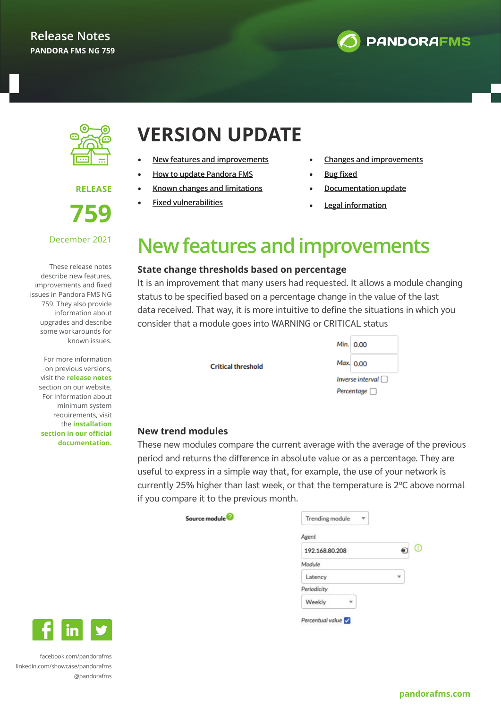



**RELEASE** 

**759**

### December 2021

These release notes describe new features, improvements and fixed issues in Pandora FMS NG 759. They also provide information about upgrades and describe some workarounds for known issues.

> For more information on previous versions, visit the **release notes** section on our website. For information about minimum system requirements, visit the **installation section in our official documentation.**

# **VERSION UPDATE**

- **New features and improvements**
- **How to update Pandora FMS**
- **[Known changes and limitations](#page-3-0)**
- **[Fixed vulnerabilities](#page-3-0)**
- **[Changes and improvements](#page-4-0)**
- **[Bug fixed](#page-5-0)**
- **[Documentation update](#page-8-0)**
- **[Legal information](#page-9-0)**

# **New features and improvements**

### **State change thresholds based on percentage**

It is an improvement that many users had requested. It allows a module changing status to be specified based on a percentage change in the value of the last data received. That way, it is more intuitive to define the situations in which you consider that a module goes into WARNING or CRITICAL status

**Critical threshold** 

|                  | Min. $0.00$ |  |  |  |
|------------------|-------------|--|--|--|
|                  | Max. 0.00   |  |  |  |
| Inverse interval |             |  |  |  |
| Percentage       |             |  |  |  |

#### **New trend modules**

These new modules compare the current average with the average of the previous period and returns the difference in absolute value or as a percentage. They are useful to express in a simple way that, for example, the use of your network is currently 25% higher than last week, or that the temperature is 2ºC above normal if you compare it to the previous month.

| Source module |  |
|---------------|--|
|               |  |

| Agent          |  |
|----------------|--|
| 192.168.80.208 |  |
| Module         |  |
| Latency        |  |
| Periodicity    |  |
| Weekly         |  |



[facebook.com/pandorafms](https://es-es.facebook.com/pandorafms/) [linkedin.com/showcase/pandorafms](https://www.linkedin.com/showcase/pandorafms) [@pandorafms](https://twitter.com/pandorafms)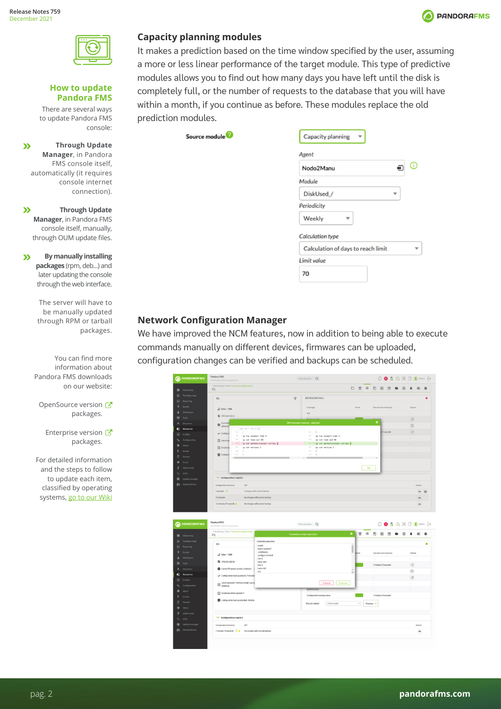

#### **How to update Pandora FMS**

There are several ways to update Pandora FMS console:

**Through Update**   $\mathbf{v}$ **Manager**, in Pandora FMS console itself, automatically (it requires console internet connection).

 $\boldsymbol{\Sigma}$ **Through Update Manager**, in Pandora FMS console itself, manually, through OUM update files.

**By manually installing**   $\mathbf{v}$ **packages** (rpm, deb...) and later updating the console through the web interface.

> The server will have to be manually updated through RPM or tarball packages.

You can find more information about Pandora FMS downloads on our website:

OpenSource version packages.

Enterprise version packages.

For detailed information and the steps to follow to update each item, classified by operating systems, go to our Wiki

### **Capacity planning modules**

It makes a prediction based on the time window specified by the user, assuming a more or less linear performance of the target module. This type of predictive modules allows you to find out how many days you have left until the disk is completely full, or the number of requests to the database that you will have within a month, if you continue as before. These modules replace the old prediction modules.

Source module<sup>2</sup>

| Agent                              |             |
|------------------------------------|-------------|
| Nodo2Manu                          | $\mathbb O$ |
| Module                             |             |
| DiskUsed /                         |             |
| Periodicity                        |             |
| Weekly                             |             |
| Calculation type                   |             |
| Calculation of days to reach limit |             |
| Limit value                        |             |
| 70                                 |             |

### **Network Configuration Manager**

We have improved the NCM features, now in addition to being able to execute commands manually on different devices, firmwares can be uploaded, configuration changes can be verified and backups can be scheduled.

|                                     | Monitoring / View / Network configuration<br>R1                                                                                                                                                                                                                                                                                                                                                                                                                                                                                                                                                              |                                      |             |                                                    |                     |           | 口全 米 凹 図 団 ■ 図 4 の              |            |                                                                                                                                                                                                                                                                                                                                                                                                                                                                                                                                                                     |            |           |
|-------------------------------------|--------------------------------------------------------------------------------------------------------------------------------------------------------------------------------------------------------------------------------------------------------------------------------------------------------------------------------------------------------------------------------------------------------------------------------------------------------------------------------------------------------------------------------------------------------------------------------------------------------------|--------------------------------------|-------------|----------------------------------------------------|---------------------|-----------|---------------------------------|------------|---------------------------------------------------------------------------------------------------------------------------------------------------------------------------------------------------------------------------------------------------------------------------------------------------------------------------------------------------------------------------------------------------------------------------------------------------------------------------------------------------------------------------------------------------------------------|------------|-----------|
| <b>O</b> Monitoring                 |                                                                                                                                                                                                                                                                                                                                                                                                                                                                                                                                                                                                              |                                      |             |                                                    |                     |           |                                 |            |                                                                                                                                                                                                                                                                                                                                                                                                                                                                                                                                                                     |            |           |
| Topology maps<br>Reporting          | R1                                                                                                                                                                                                                                                                                                                                                                                                                                                                                                                                                                                                           |                                      | $\tilde{z}$ | <b>DEVICE DETAILS</b>                              |                     |           |                                 |            |                                                                                                                                                                                                                                                                                                                                                                                                                                                                                                                                                                     |            |           |
| <b>Events</b>                       |                                                                                                                                                                                                                                                                                                                                                                                                                                                                                                                                                                                                              |                                      |             |                                                    |                     |           |                                 |            |                                                                                                                                                                                                                                                                                                                                                                                                                                                                                                                                                                     |            |           |
| Workspace                           | $\frac{14}{26}$ Cisco / 7200                                                                                                                                                                                                                                                                                                                                                                                                                                                                                                                                                                                 |                                      |             | Script type                                        | Henrit              |           | <b>Execution last timentany</b> |            |                                                                                                                                                                                                                                                                                                                                                                                                                                                                                                                                                                     | Options    |           |
| <b>父</b> Tools                      | <b>Q</b> 192.168.122.16                                                                                                                                                                                                                                                                                                                                                                                                                                                                                                                                                                                      |                                      |             | Text                                               |                     |           |                                 |            |                                                                                                                                                                                                                                                                                                                                                                                                                                                                                                                                                                     |            |           |
| Discovery                           |                                                                                                                                                                                                                                                                                                                                                                                                                                                                                                                                                                                                              |                                      |             | Diff between: backup - selected                    |                     |           | $\mathbf{x}$                    |            |                                                                                                                                                                                                                                                                                                                                                                                                                                                                                                                                                                     | $\circ$    |           |
| Resources                           | $\bullet$ Current f<br>00 -61.7 -61.7 00                                                                                                                                                                                                                                                                                                                                                                                                                                                                                                                                                                     |                                      |             |                                                    |                     |           |                                 |            |                                                                                                                                                                                                                                                                                                                                                                                                                                                                                                                                                                     | $\circ$    |           |
| Profiles                            | $61 - 8$<br>$\sqrt{C}$ cerhgura<br>62                                                                                                                                                                                                                                                                                                                                                                                                                                                                                                                                                                        |                                      |             | 61.<br>$\mathbf{r}$<br>62                          |                     |           |                                 | 57 seconds |                                                                                                                                                                                                                                                                                                                                                                                                                                                                                                                                                                     | $\circ$    |           |
| Configuration                       | ip tcp synwait-time 5<br>63<br>ip ssh time-out 60<br><b>Ell</b> Latest op-                                                                                                                                                                                                                                                                                                                                                                                                                                                                                                                                   |                                      |             | ip tcp synwait-time 5<br>63.<br>ip ssh time-out 60 |                     |           |                                 |            |                                                                                                                                                                                                                                                                                                                                                                                                                                                                                                                                                                     |            |           |
| <b>Alerts</b>                       |                                                                                                                                                                                                                                                                                                                                                                                                                                                                                                                                                                                                              | 64 - ip ssh authentication-retries 2 |             | 44 + ip ssh authentication retries &               |                     |           |                                 |            |                                                                                                                                                                                                                                                                                                                                                                                                                                                                                                                                                                     |            |           |
| E. Funnis                           | 65 ip ssh version 2<br>Script con<br>66                                                                                                                                                                                                                                                                                                                                                                                                                                                                                                                                                                      |                                      |             | 65<br>ip ssh version 2<br>$56 -$<br>n.             |                     |           |                                 |            |                                                                                                                                                                                                                                                                                                                                                                                                                                                                                                                                                                     | ÷          |           |
| <b>B</b> Servers                    | 67.14<br>Company<br>$-$                                                                                                                                                                                                                                                                                                                                                                                                                                                                                                                                                                                      |                                      |             | 67<br>$\rightarrow$<br>$k \rightarrow 1$           |                     |           |                                 |            |                                                                                                                                                                                                                                                                                                                                                                                                                                                                                                                                                                     |            |           |
| $0$ Setup                           |                                                                                                                                                                                                                                                                                                                                                                                                                                                                                                                                                                                                              |                                      |             |                                                    |                     |           |                                 |            |                                                                                                                                                                                                                                                                                                                                                                                                                                                                                                                                                                     |            |           |
| T Admin tools                       |                                                                                                                                                                                                                                                                                                                                                                                                                                                                                                                                                                                                              |                                      |             |                                                    |                     | Ok        |                                 |            |                                                                                                                                                                                                                                                                                                                                                                                                                                                                                                                                                                     |            |           |
| Links                               |                                                                                                                                                                                                                                                                                                                                                                                                                                                                                                                                                                                                              |                                      |             |                                                    |                     |           |                                 |            |                                                                                                                                                                                                                                                                                                                                                                                                                                                                                                                                                                     |            |           |
| Update manager                      | $\vee$ Configurations registry                                                                                                                                                                                                                                                                                                                                                                                                                                                                                                                                                                               |                                      |             |                                                    |                     |           |                                 |            |                                                                                                                                                                                                                                                                                                                                                                                                                                                                                                                                                                     |            |           |
| <b>III</b> Module library           | Configuration timestamp<br><b>Diff</b>                                                                                                                                                                                                                                                                                                                                                                                                                                                                                                                                                                       |                                      |             |                                                    |                     |           |                                 |            |                                                                                                                                                                                                                                                                                                                                                                                                                                                                                                                                                                     |            | Actions   |
|                                     | $2 seconds$ $\odot$                                                                                                                                                                                                                                                                                                                                                                                                                                                                                                                                                                                          | Compare with current backup          |             |                                                    |                     |           |                                 |            |                                                                                                                                                                                                                                                                                                                                                                                                                                                                                                                                                                     |            | $-11$     |
|                                     |                                                                                                                                                                                                                                                                                                                                                                                                                                                                                                                                                                                                              |                                      |             |                                                    |                     |           |                                 |            |                                                                                                                                                                                                                                                                                                                                                                                                                                                                                                                                                                     |            |           |
|                                     |                                                                                                                                                                                                                                                                                                                                                                                                                                                                                                                                                                                                              |                                      |             |                                                    |                     |           |                                 |            |                                                                                                                                                                                                                                                                                                                                                                                                                                                                                                                                                                     |            |           |
|                                     | 57 seconds                                                                                                                                                                                                                                                                                                                                                                                                                                                                                                                                                                                                   | No changes with current backup       |             |                                                    |                     |           |                                 |            |                                                                                                                                                                                                                                                                                                                                                                                                                                                                                                                                                                     |            | $\bullet$ |
|                                     | 11 minutes 17 seconds                                                                                                                                                                                                                                                                                                                                                                                                                                                                                                                                                                                        | No changes with current backup       |             |                                                    |                     |           |                                 |            |                                                                                                                                                                                                                                                                                                                                                                                                                                                                                                                                                                     |            | $\bullet$ |
| <b>PANDORAFMS</b>                   | Pandora FMS<br>the Flexible Monitoring System<br>Manitoring / View / Network configuration                                                                                                                                                                                                                                                                                                                                                                                                                                                                                                                   |                                      |             | Enterleywords Q<br>Customize script execution      | $\pmb{\times}$<br>宝 | $\ast$    | ◫<br>因                          | 固          | $\begin{array}{c}\n\bigcirc\\ \bullet\\ \end{array}\n\quad\n\begin{array}{c}\n\bullet\\ \bullet\\ \end{array}\n\quad\n\begin{array}{c}\n\bullet\\ \bullet\\ \end{array}\n\quad\n\begin{array}{c}\n\bullet\\ \bullet\\ \end{array}\n\quad\n\begin{array}{c}\n\bullet\\ \bullet\\ \end{array}\n\quad\n\begin{array}{c}\n\bullet\\ \bullet\\ \end{array}\n\quad\n\begin{array}{c}\n\bullet\\ \bullet\\ \end{array}\n\quad\n\begin{array}{c}\n\bullet\\ \bullet\\ \end{array}\n\quad\n\begin{array}{c}\n\bullet\\ \bullet\\ \end{$<br>团<br>$\qquad \qquad \blacksquare$ |            | ⊕         |
| Monitoring<br>Topology maps         | R1                                                                                                                                                                                                                                                                                                                                                                                                                                                                                                                                                                                                           | Customize execution                  |             |                                                    |                     |           |                                 |            |                                                                                                                                                                                                                                                                                                                                                                                                                                                                                                                                                                     |            |           |
| Reporting                           | R1                                                                                                                                                                                                                                                                                                                                                                                                                                                                                                                                                                                                           | enable                               |             |                                                    |                     |           |                                 |            |                                                                                                                                                                                                                                                                                                                                                                                                                                                                                                                                                                     |            |           |
| <b>E</b> Fuents                     |                                                                                                                                                                                                                                                                                                                                                                                                                                                                                                                                                                                                              | expect assumed."<br>enablepass.      |             |                                                    | ı                   |           | <b>Execution last timestang</b> |            |                                                                                                                                                                                                                                                                                                                                                                                                                                                                                                                                                                     | Options    |           |
| Workspace                           | Cisco / 7200                                                                                                                                                                                                                                                                                                                                                                                                                                                                                                                                                                                                 | configure terminal<br>$\n  than 2\n$ |             |                                                    |                     |           | ÷                               |            |                                                                                                                                                                                                                                                                                                                                                                                                                                                                                                                                                                     | $\omega$   |           |
| $%$ Tools                           | ● 192.168.122.16                                                                                                                                                                                                                                                                                                                                                                                                                                                                                                                                                                                             | name sales<br>when 3                 |             |                                                    |                     |           | 7 minutes 53 seconds            |            |                                                                                                                                                                                                                                                                                                                                                                                                                                                                                                                                                                     | $\circ$    |           |
| A Discovery                         | Current firmware version: Unknown                                                                                                                                                                                                                                                                                                                                                                                                                                                                                                                                                                            | name r&d                             |             |                                                    |                     |           |                                 |            |                                                                                                                                                                                                                                                                                                                                                                                                                                                                                                                                                                     |            |           |
| Resources                           | $\swarrow$ Configuration backup present, 7 minutes                                                                                                                                                                                                                                                                                                                                                                                                                                                                                                                                                           | eik                                  |             |                                                    | ÷                   |           |                                 |            |                                                                                                                                                                                                                                                                                                                                                                                                                                                                                                                                                                     | $\circ$    |           |
| A Profiles                          |                                                                                                                                                                                                                                                                                                                                                                                                                                                                                                                                                                                                              |                                      |             |                                                    |                     |           | $\alpha$                        |            |                                                                                                                                                                                                                                                                                                                                                                                                                                                                                                                                                                     | $\circ$    |           |
| Configuration                       | $\fbox{\parbox{1.5cm} {\begin{tabular}{ c c } \hline \quad \quad & \quad \quad & \quad \quad & \quad \quad \\ \hline \quad \quad & \quad \quad & \quad \quad & \quad \quad \\ \hline \quad \quad & \quad \quad & \quad \quad & \quad \quad \\ \hline \quad \quad & \quad \quad & \quad \quad \\ \hline \quad \quad & \quad \quad & \quad \quad \\ \hline \quad \quad & \quad \quad & \quad \quad \\ \hline \end{tabular}}\hline \quad \quad \quad & \quad \quad & \quad \quad \\ \hline \quad \quad & \quad \quad & \quad \quad \\ \hline \quad \quad & \quad \quad & \quad \quad \\ \hline \quad \quad & \$ |                                      |             | Cancel<br>Execute                                  |                     |           |                                 |            |                                                                                                                                                                                                                                                                                                                                                                                                                                                                                                                                                                     | $\epsilon$ |           |
| Alerty                              | Script executions queued: 1                                                                                                                                                                                                                                                                                                                                                                                                                                                                                                                                                                                  |                                      |             | Send firmware                                      |                     |           | ç                               |            |                                                                                                                                                                                                                                                                                                                                                                                                                                                                                                                                                                     |            |           |
| <b>Davids</b>                       |                                                                                                                                                                                                                                                                                                                                                                                                                                                                                                                                                                                                              |                                      |             | Configuration backup status                        |                     |           | 7 minutes 53 seconds            |            |                                                                                                                                                                                                                                                                                                                                                                                                                                                                                                                                                                     |            |           |
| 图 Servers                           | Configuration backup schedule: Weekly                                                                                                                                                                                                                                                                                                                                                                                                                                                                                                                                                                        |                                      |             | Execute snippet<br>VLAN sample                     | $^\mathrm{v}$       | Preview > |                                 |            |                                                                                                                                                                                                                                                                                                                                                                                                                                                                                                                                                                     |            |           |
| Setup                               |                                                                                                                                                                                                                                                                                                                                                                                                                                                                                                                                                                                                              |                                      |             |                                                    |                     |           |                                 |            |                                                                                                                                                                                                                                                                                                                                                                                                                                                                                                                                                                     |            |           |
| $\overline{\mathbf{d}}$ Adminitools |                                                                                                                                                                                                                                                                                                                                                                                                                                                                                                                                                                                                              |                                      |             |                                                    |                     |           |                                 |            |                                                                                                                                                                                                                                                                                                                                                                                                                                                                                                                                                                     |            |           |
| Links                               | Configurations registry                                                                                                                                                                                                                                                                                                                                                                                                                                                                                                                                                                                      |                                      |             |                                                    |                     |           |                                 |            |                                                                                                                                                                                                                                                                                                                                                                                                                                                                                                                                                                     |            |           |
| <b>C</b> Update manager             | Configuration timestamp<br>Diff                                                                                                                                                                                                                                                                                                                                                                                                                                                                                                                                                                              |                                      |             |                                                    |                     |           |                                 |            |                                                                                                                                                                                                                                                                                                                                                                                                                                                                                                                                                                     |            | Actions   |

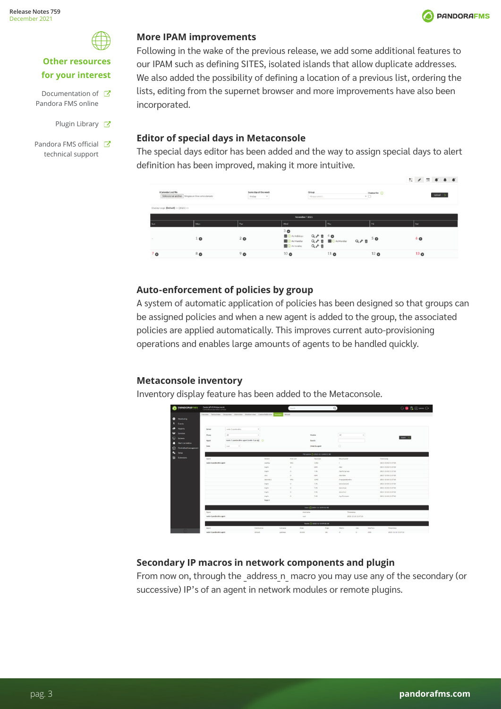

## **Other resources for your interest**

- Documentation of  $\mathbb{Z}$ Pandora FMS online
	- Plugin Library **T**
- Pandora FMS official C technical support

### **More IPAM improvements**

Following in the wake of the previous release, we add some additional features to our IPAM such as defining SITES, isolated islands that allow duplicate addresses. We also added the possibility of defining a location of a previous list, ordering the lists, editing from the supernet browser and more improvements have also been incorporated.

## **Editor of special days in Metaconsole**

The special days editor has been added and the way to assign special days to alert definition has been improved, making it more intuitive.

| <b>CONTRACTOR AND CONTRACTOR</b><br><b>iCalendar(.ics)</b> file<br>Displayrange: [Default] << (2021) >> | Seleccionar archivo Ningún archivo seleccionado | Same day of the week<br>Friday<br>$\sim$ |                                                                            | Group<br>Please select.   |                           | $\overline{\phantom{0}}$ | Overwrite (     |                 | 22 / 回 年 冬 年<br>Upload > |  |
|---------------------------------------------------------------------------------------------------------|-------------------------------------------------|------------------------------------------|----------------------------------------------------------------------------|---------------------------|---------------------------|--------------------------|-----------------|-----------------|--------------------------|--|
|                                                                                                         |                                                 |                                          | November / 2021                                                            |                           |                           |                          |                 |                 |                          |  |
| Sun                                                                                                     | Mon                                             | Tue                                      | Wed                                                                        |                           | Thu                       |                          | Fri             | sat             |                          |  |
|                                                                                                         | $\bullet$                                       | 20                                       | 30<br><b>BO</b> As Holidays<br><b>D</b> As Monday<br><b>DE O</b> As Sunday | $Q \neq 40$<br>$Q \neq 0$ | Q / B <b>BO</b> As Monday | $Q \neq 0$ 50            |                 | 60              |                          |  |
| 7 <sub>o</sub>                                                                                          | 80                                              | 9 <sub>o</sub>                           | 10 <sub>o</sub>                                                            |                           | 11 <sub>O</sub>           |                          | 12 <sub>o</sub> | 13 <sub>o</sub> |                          |  |

## **Auto-enforcement of policies by group**

A system of automatic application of policies has been designed so that groups can be assigned policies and when a new agent is added to the group, the associated policies are applied automatically. This improves current auto-provisioning operations and enables large amounts of agents to be handled quickly.

## **Metaconsole inventory**

Inventory display feature has been added to the Metaconsole.

| <b>PANDORAFMS</b>                                                                                                            | <b>PandoraFMS Metaconsole</b><br>Centralized operation console                                                                                                                    |                                                                                                      | Starch.                                                                                              |                                                                                              | $\alpha$                                                                                                                                       |                   | $\theta$ <b>B</b> $\theta$ <b>@</b> toward $\theta$                                                                                                                                                                      |
|------------------------------------------------------------------------------------------------------------------------------|-----------------------------------------------------------------------------------------------------------------------------------------------------------------------------------|------------------------------------------------------------------------------------------------------|------------------------------------------------------------------------------------------------------|----------------------------------------------------------------------------------------------|------------------------------------------------------------------------------------------------------------------------------------------------|-------------------|--------------------------------------------------------------------------------------------------------------------------------------------------------------------------------------------------------------------------|
| ٠<br>Monitoring<br>٠<br>Events<br>۰<br><b>Roports</b><br>$\bullet$<br>Services<br>$\Box$<br>Screens<br>n<br>Alertcorrelation | Trenview Tackicalview Groupview Alertsview Monitorsview Customfieldsview Energies<br>Server<br>note-1-panderates'<br>A<br>Group<br>nodo-1-pandoralms agent (nodo-1-pa @)<br>Agent | $\alpha$<br>$\sim$                                                                                   | Wesst                                                                                                | Module<br>Search                                                                             | A3                                                                                                                                             | $\sim$            | teach Q                                                                                                                                                                                                                  |
| ۰<br>Centralised management<br>$\mathbf{a}_\bullet$<br>Setse                                                                 | Last<br>Date<br>$\sim$                                                                                                                                                            |                                                                                                      |                                                                                                      | Order by agent<br>Pilesyster (3 (2021-11-50 09:32:18)                                        | $\Omega$                                                                                                                                       |                   |                                                                                                                                                                                                                          |
| <b>El Extensions</b>                                                                                                         | Agent<br>nodo-1-pandoraltys agent                                                                                                                                                 | Drvice<br>overtay<br>brant's<br>triph<br>shee<br>Abrurback 1<br>tracts<br>tracts<br>brach.<br>trants | Free size<br>945<br>$\circ$<br>$\circ$<br>$\circ$<br>945<br>$\circ$<br>$\circ$<br>$\circ$<br>$\circ$ | Total size<br>1246<br>A <sub>EM</sub><br>7.96<br>ABA<br>1240<br>7.95<br>7,96<br>7.95<br>7.96 | Mountpoint<br>$\mathcal{L}$<br>Alex<br>Avv/tytaroup<br>Afewfalen<br>Amplpandorates<br>Aproclassoord<br>Aprochesi<br>Aprochesi<br>Avy Terrorate |                   | Timestamp<br>2021-11-10 15:37:10<br>2021-11-10 15:37:18<br>2021-11-10 15:37:10<br>2021-11-10 15:37:18<br>2021-11-10 15:37:10<br>2021-11-10 13:37:18<br>2021-11-10 15:37:10<br>2021-11-10 15:37:18<br>2021-11-10 15:37:10 |
|                                                                                                                              | Agent<br>nodo-1-pandorativs agent                                                                                                                                                 | Total 9                                                                                              | root                                                                                                 | Users (5) (2021-11-1009-32:18)<br>Usamana<br>Rode: (3 0021-11-1009.32.10)                    | Timestangs<br>2021-11-10 15:37:18                                                                                                              |                   |                                                                                                                                                                                                                          |
|                                                                                                                              | Apont<br>nodo-1-pandorativs agent                                                                                                                                                 | Destination<br>detault                                                                               | Mark<br>Gateway<br>0000<br>gateway                                                                   | Flam<br>UG.                                                                                  | Metric<br>Use<br>$\alpha$<br>$\alpha$                                                                                                          | Interface<br>etio | Timestano<br>2021-11-30 13:37:18                                                                                                                                                                                         |

## **Secondary IP macros in network components and plugin**

From now on, through the address n macro you may use any of the secondary (or successive) IP's of an agent in network modules or remote plugins.

**PANDORAFMS**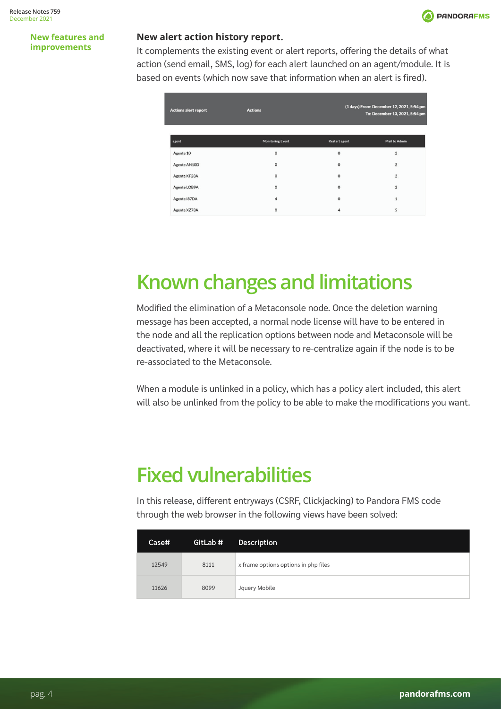

#### <span id="page-3-0"></span>**New features and improvements**

### **New alert action history report.**

It complements the existing event or alert reports, offering the details of what action (send email, SMS, log) for each alert launched on an agent/module. It is based on events (which now save that information when an alert is fired).

| <b>Actions alert report</b> | <b>Actions</b>          |                      | (1 days) From: December 12, 2021, 5:54 pm<br>To: December 13, 2021, 5:54 pm |
|-----------------------------|-------------------------|----------------------|-----------------------------------------------------------------------------|
| agent                       | <b>Monitoring Event</b> | <b>Restart agent</b> | <b>Mail to Admin</b>                                                        |
| Agente 10                   | $\mathbf 0$             | $\mathbf 0$          | $\overline{2}$                                                              |
| Agente AN10D                | 0                       | $\mathbf 0$          | $\overline{\mathbf{2}}$                                                     |
| Agente KF28A                | 0                       | $\mathbf 0$          | $\overline{2}$                                                              |
| Agente LOB9A                | $\mathbf 0$             | $\Omega$             | $\overline{2}$                                                              |
| Agente I87DA                | 4                       | $\circ$              | $\mathbf{1}$                                                                |
| Agente XZ78A                | $\mathbf 0$             | $\overline{4}$       | 5                                                                           |

# **Known changes and limitations**

Modified the elimination of a Metaconsole node. Once the deletion warning message has been accepted, a normal node license will have to be entered in the node and all the replication options between node and Metaconsole will be deactivated, where it will be necessary to re-centralize again if the node is to be re-associated to the Metaconsole.

When a module is unlinked in a policy, which has a policy alert included, this alert will also be unlinked from the policy to be able to make the modifications you want.

# **Fixed vulnerabilities**

In this release, different entryways (CSRF, Clickjacking) to Pandora FMS code through the web browser in the following views have been solved:

| Case# | GitLab # | <b>Description</b>                   |
|-------|----------|--------------------------------------|
| 12549 | 8111     | x frame options options in php files |
| 11626 | 8099     | Jquery Mobile                        |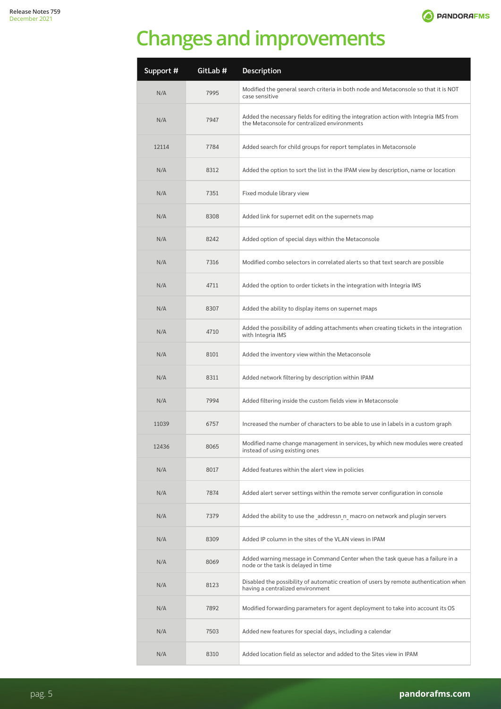

# <span id="page-4-0"></span>**Changes and improvements**

| Support # | GitLab # | Description                                                                                                                          |
|-----------|----------|--------------------------------------------------------------------------------------------------------------------------------------|
| N/A       | 7995     | Modified the general search criteria in both node and Metaconsole so that it is NOT<br>case sensitive                                |
| N/A       | 7947     | Added the necessary fields for editing the integration action with Integria IMS from<br>the Metaconsole for centralized environments |
| 12114     | 7784     | Added search for child groups for report templates in Metaconsole                                                                    |
| N/A       | 8312     | Added the option to sort the list in the IPAM view by description, name or location                                                  |
| N/A       | 7351     | Fixed module library view                                                                                                            |
| N/A       | 8308     | Added link for supernet edit on the supernets map                                                                                    |
| N/A       | 8242     | Added option of special days within the Metaconsole                                                                                  |
| N/A       | 7316     | Modified combo selectors in correlated alerts so that text search are possible                                                       |
| N/A       | 4711     | Added the option to order tickets in the integration with Integria IMS                                                               |
| N/A       | 8307     | Added the ability to display items on supernet maps                                                                                  |
| N/A       | 4710     | Added the possibility of adding attachments when creating tickets in the integration<br>with Integria IMS                            |
| N/A       | 8101     | Added the inventory view within the Metaconsole                                                                                      |
| N/A       | 8311     | Added network filtering by description within IPAM                                                                                   |
| N/A       | 7994     | Added filtering inside the custom fields view in Metaconsole                                                                         |
| 11039     | 6757     | Increased the number of characters to be able to use in labels in a custom graph                                                     |
| 12436     | 8065     | Modified name change management in services, by which new modules were created<br>instead of using existing ones                     |
| N/A       | 8017     | Added features within the alert view in policies                                                                                     |
| N/A       | 7874     | Added alert server settings within the remote server configuration in console                                                        |
| N/A       | 7379     | Added the ability to use the addressn n macro on network and plugin servers                                                          |
| N/A       | 8309     | Added IP column in the sites of the VLAN views in IPAM                                                                               |
| N/A       | 8069     | Added warning message in Command Center when the task queue has a failure in a<br>node or the task is delayed in time                |
| N/A       | 8123     | Disabled the possibility of automatic creation of users by remote authentication when<br>having a centralized environment            |
| N/A       | 7892     | Modified forwarding parameters for agent deployment to take into account its OS                                                      |
| N/A       | 7503     | Added new features for special days, including a calendar                                                                            |
| N/A       | 8310     | Added location field as selector and added to the Sites view in IPAM                                                                 |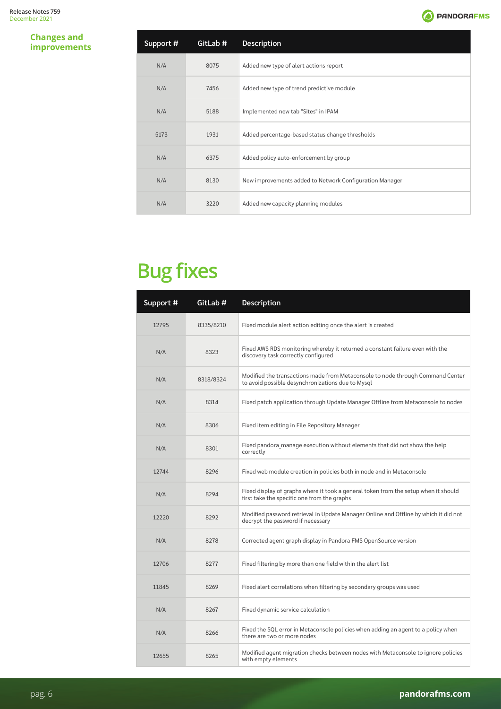**O** PANDORAFMS

### <span id="page-5-0"></span>**Changes and improvements**

| Support # | GitLab # | <b>Description</b>                                      |
|-----------|----------|---------------------------------------------------------|
| N/A       | 8075     | Added new type of alert actions report                  |
| N/A       | 7456     | Added new type of trend predictive module               |
| N/A       | 5188     | Implemented new tab "Sites" in IPAM                     |
| 5173      | 1931     | Added percentage-based status change thresholds         |
| N/A       | 6375     | Added policy auto-enforcement by group                  |
| N/A       | 8130     | New improvements added to Network Configuration Manager |
| N/A       | 3220     | Added new capacity planning modules                     |

# **Bug fixes**

| Support # | GitLab #  | Description                                                                                                                         |
|-----------|-----------|-------------------------------------------------------------------------------------------------------------------------------------|
| 12795     | 8335/8210 | Fixed module alert action editing once the alert is created                                                                         |
| N/A       | 8323      | Fixed AWS RDS monitoring whereby it returned a constant failure even with the<br>discovery task correctly configured                |
| N/A       | 8318/8324 | Modified the transactions made from Metaconsole to node through Command Center<br>to avoid possible desynchronizations due to Mysql |
| N/A       | 8314      | Fixed patch application through Update Manager Offline from Metaconsole to nodes                                                    |
| N/A       | 8306      | Fixed item editing in File Repository Manager                                                                                       |
| N/A       | 8301      | Fixed pandora manage execution without elements that did not show the help<br>correctly                                             |
| 12744     | 8296      | Fixed web module creation in policies both in node and in Metaconsole                                                               |
| N/A       | 8294      | Fixed display of graphs where it took a general token from the setup when it should<br>first take the specific one from the graphs  |
| 12220     | 8292      | Modified password retrieval in Update Manager Online and Offline by which it did not<br>decrypt the password if necessary           |
| N/A       | 8278      | Corrected agent graph display in Pandora FMS OpenSource version                                                                     |
| 12706     | 8277      | Fixed filtering by more than one field within the alert list                                                                        |
| 11845     | 8269      | Fixed alert correlations when filtering by secondary groups was used                                                                |
| N/A       | 8267      | Fixed dynamic service calculation                                                                                                   |
| N/A       | 8266      | Fixed the SQL error in Metaconsole policies when adding an agent to a policy when<br>there are two or more nodes                    |
| 12655     | 8265      | Modified agent migration checks between nodes with Metaconsole to ignore policies<br>with empty elements                            |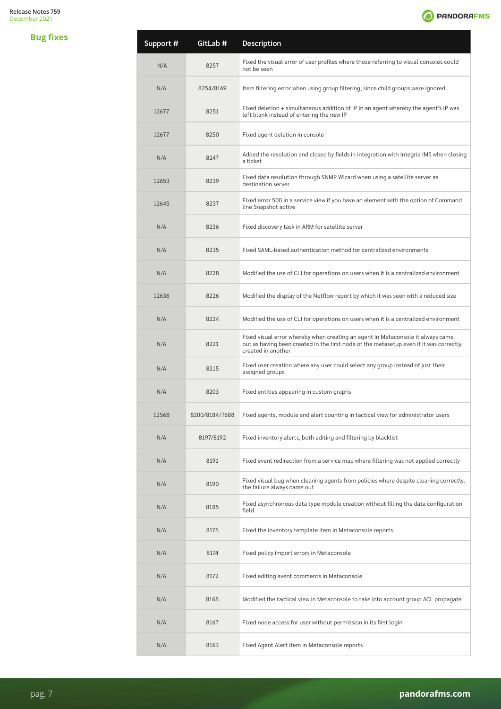

| <b>Bug fixes</b> | Support # | GitLab #       | <b>Description</b>                                                                                                                                                                              |
|------------------|-----------|----------------|-------------------------------------------------------------------------------------------------------------------------------------------------------------------------------------------------|
|                  | N/A       | 8257           | Fixed the visual error of user profiles where those referring to visual consoles could<br>not be seen                                                                                           |
|                  | N/A       | 8254/8169      | Item filtering error when using group filtering, since child groups were ignored                                                                                                                |
|                  | 12677     | 8251           | Fixed deletion + simultaneous addition of IP in an agent whereby the agent's IP was<br>left blank instead of entering the new IP                                                                |
|                  | 12677     | 8250           | Fixed agent deletion in console                                                                                                                                                                 |
|                  | N/A       | 8247           | Added the resolution and closed by fields in integration with Integria IMS when closing<br>a ticket                                                                                             |
|                  | 12653     | 8239           | Fixed data resolution through SNMP Wizard when using a satellite server as<br>destination server                                                                                                |
|                  | 12645     | 8237           | Fixed error 500 in a service view if you have an element with the option of Command<br>line Snapshot active                                                                                     |
|                  | N/A       | 8236           | Fixed discovery task in ARM for satellite server                                                                                                                                                |
|                  | N/A       | 8235           | Fixed SAML-based authentication method for centralized environments                                                                                                                             |
|                  | N/A       | 8228           | Modified the use of CLI for operations on users when it is a centralized environment                                                                                                            |
|                  | 12636     | 8226           | Modified the display of the Netflow report by which it was seen with a reduced size                                                                                                             |
|                  | N/A       | 8224           | Modified the use of CLI for operations on users when it is a centralized environment                                                                                                            |
|                  | N/A       | 8221           | Fixed visual error whereby when creating an agent in Metaconsole it always came<br>out as having been created in the first node of the metasetup even if it was correctly<br>created in another |
|                  | N/A       | 8215           | Fixed user creation where any user could select any group instead of just their<br>assigned groups                                                                                              |
|                  | N/A       | 8203           | Fixed entities appearing in custom graphs                                                                                                                                                       |
|                  | 12568     | 8200/8184/7688 | Fixed agents, module and alert counting in tactical view for administrator users                                                                                                                |
|                  | N/A       | 8197/8192      | Fixed inventory alerts, both editing and filtering by blacklist                                                                                                                                 |
|                  | N/A       | 8191           | Fixed event redirection from a service map where filtering was not applied correctly                                                                                                            |
|                  | N/A       | 8190           | Fixed visual bug when cleaning agents from policies where despite cleaning correctly,<br>the failure always came out                                                                            |
|                  | N/A       | 8185           | Fixed asynchronous data type module creation without filling the data configuration<br>field                                                                                                    |
|                  | N/A       | 8175           | Fixed the inventory template item in Metaconsole reports                                                                                                                                        |
|                  | N/A       | 8174           | Fixed policy import errors in Metaconsole                                                                                                                                                       |
|                  | N/A       | 8172           | Fixed editing event comments in Metaconsole                                                                                                                                                     |
|                  | N/A       | 8168           | Modified the tactical view in Metaconsole to take into account group ACL propagate                                                                                                              |
|                  | N/A       | 8167           | Fixed node access for user without permission in its first login                                                                                                                                |
|                  | N/A       | 8163           | Fixed Agent Alert item in Metaconsole reports                                                                                                                                                   |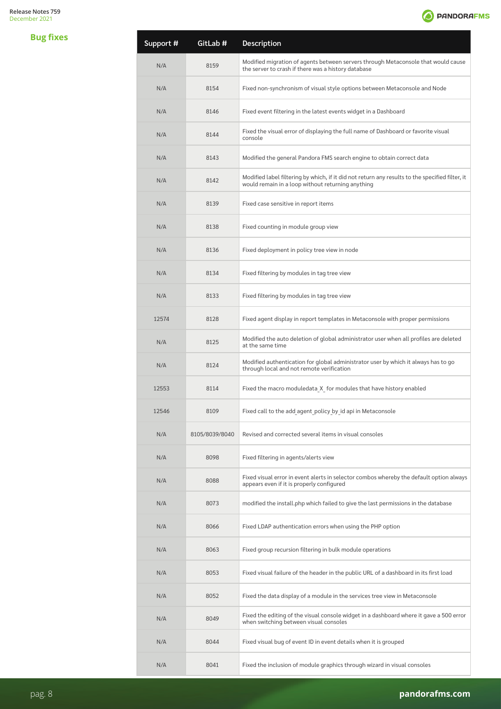

| <b>Bug fixes</b> | Support # | GitLab #       | <b>Description</b>                                                                                                                                   |
|------------------|-----------|----------------|------------------------------------------------------------------------------------------------------------------------------------------------------|
|                  | N/A       | 8159           | Modified migration of agents between servers through Metaconsole that would cause<br>the server to crash if there was a history database             |
|                  | N/A       | 8154           | Fixed non-synchronism of visual style options between Metaconsole and Node                                                                           |
|                  | N/A       | 8146           | Fixed event filtering in the latest events widget in a Dashboard                                                                                     |
|                  | N/A       | 8144           | Fixed the visual error of displaying the full name of Dashboard or favorite visual<br>console                                                        |
|                  | N/A       | 8143           | Modified the general Pandora FMS search engine to obtain correct data                                                                                |
|                  | N/A       | 8142           | Modified label filtering by which, if it did not return any results to the specified filter, it<br>would remain in a loop without returning anything |
|                  | N/A       | 8139           | Fixed case sensitive in report items                                                                                                                 |
|                  | N/A       | 8138           | Fixed counting in module group view                                                                                                                  |
|                  | N/A       | 8136           | Fixed deployment in policy tree view in node                                                                                                         |
|                  | N/A       | 8134           | Fixed filtering by modules in tag tree view                                                                                                          |
|                  | N/A       | 8133           | Fixed filtering by modules in tag tree view                                                                                                          |
|                  | 12574     | 8128           | Fixed agent display in report templates in Metaconsole with proper permissions                                                                       |
|                  | N/A       | 8125           | Modified the auto deletion of global administrator user when all profiles are deleted<br>at the same time                                            |
|                  | N/A       | 8124           | Modified authentication for global administrator user by which it always has to go<br>through local and not remote verification                      |
|                  | 12553     | 8114           | Fixed the macro moduledata X for modules that have history enabled                                                                                   |
|                  | 12546     | 8109           | Fixed call to the add agent policy by id api in Metaconsole                                                                                          |
|                  | N/A       | 8105/8039/8040 | Revised and corrected several items in visual consoles                                                                                               |
|                  | N/A       | 8098           | Fixed filtering in agents/alerts view                                                                                                                |
|                  | N/A       | 8088           | Fixed visual error in event alerts in selector combos whereby the default option always<br>appears even if it is properly configured                 |
|                  | N/A       | 8073           | modified the install.php which failed to give the last permissions in the database                                                                   |
|                  | N/A       | 8066           | Fixed LDAP authentication errors when using the PHP option                                                                                           |
|                  | N/A       | 8063           | Fixed group recursion filtering in bulk module operations                                                                                            |
|                  | N/A       | 8053           | Fixed visual failure of the header in the public URL of a dashboard in its first load                                                                |
|                  | N/A       | 8052           | Fixed the data display of a module in the services tree view in Metaconsole                                                                          |
|                  | N/A       | 8049           | Fixed the editing of the visual console widget in a dashboard where it gave a 500 error<br>when switching between visual consoles                    |
|                  | N/A       | 8044           | Fixed visual bug of event ID in event details when it is grouped                                                                                     |
|                  | N/A       | 8041           | Fixed the inclusion of module graphics through wizard in visual consoles                                                                             |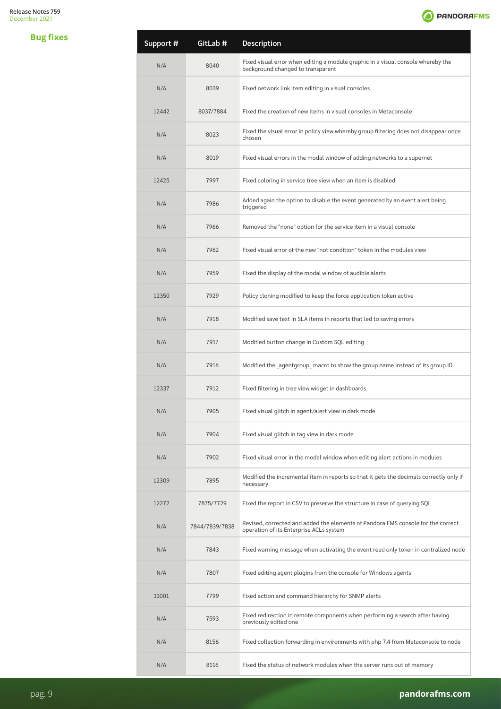

<span id="page-8-0"></span>

| <b>Bug fixes</b> | Support # | GitLab #       | Description                                                                                                                 |
|------------------|-----------|----------------|-----------------------------------------------------------------------------------------------------------------------------|
|                  | N/A       | 8040           | Fixed visual error when editing a module graphic in a visual console whereby the<br>background changed to transparent       |
|                  | N/A       | 8039           | Fixed network link item editing in visual consoles                                                                          |
|                  | 12442     | 8037/7884      | Fixed the creation of new items in visual consoles in Metaconsole                                                           |
|                  | N/A       | 8023           | Fixed the visual error in policy view whereby group filtering does not disappear once<br>chosen                             |
|                  | N/A       | 8019           | Fixed visual errors in the modal window of adding networks to a supernet                                                    |
|                  | 12425     | 7997           | Fixed coloring in service tree view when an item is disabled                                                                |
|                  | N/A       | 7986           | Added again the option to disable the event generated by an event alert being<br>triggered                                  |
|                  | N/A       | 7966           | Removed the "none" option for the service item in a visual console                                                          |
|                  | N/A       | 7962           | Fixed visual error of the new "not condition" token in the modules view                                                     |
|                  | N/A       | 7959           | Fixed the display of the modal window of audible alerts                                                                     |
|                  | 12350     | 7929           | Policy cloning modified to keep the force application token active                                                          |
|                  | N/A       | 7918           | Modified save text in SLA items in reports that led to saving errors                                                        |
|                  | N/A       | 7917           | Modified button change in Custom SQL editing                                                                                |
|                  | N/A       | 7916           | Modified the agentgroup macro to show the group name instead of its group ID                                                |
|                  | 12337     | 7912           | Fixed filtering in tree view widget in dashboards                                                                           |
|                  | N/A       | 7905           | Fixed visual glitch in agent/alert view in dark mode                                                                        |
|                  | N/A       | 7904           | Fixed visual glitch in tag view in dark mode                                                                                |
|                  | N/A       | 7902           | Fixed visual error in the modal window when editing alert actions in modules                                                |
|                  | 12309     | 7895           | Modified the incremental item in reports so that it gets the decimals correctly only if<br>necessary                        |
|                  | 12272     | 7875/7729      | Fixed the report in CSV to preserve the structure in case of querying SQL                                                   |
|                  | N/A       | 7844/7839/7838 | Revised, corrected and added the elements of Pandora FMS console for the correct<br>operation of its Enterprise ACLs system |
|                  | N/A       | 7843           | Fixed warning message when activating the event read only token in centralized node                                         |
|                  | N/A       | 7807           | Fixed editing agent plugins from the console for Windows agents                                                             |
|                  | 11001     | 7799           | Fixed action and command hierarchy for SNMP alerts                                                                          |
|                  | N/A       | 7593           | Fixed redirection in remote components when performing a search after having<br>previously edited one                       |
|                  | N/A       | 8156           | Fixed collection forwarding in environments with php 7.4 from Metaconsole to node                                           |
|                  | N/A       | 8116           | Fixed the status of network modules when the server runs out of memory                                                      |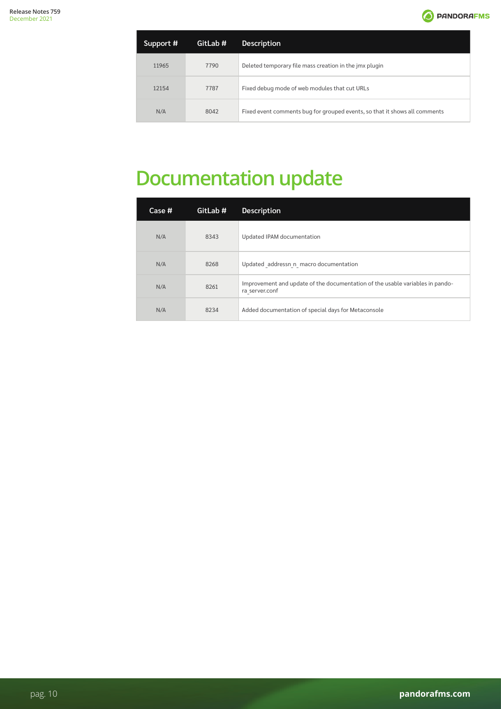

<span id="page-9-0"></span>

| Support # | GitLab # | <b>Description</b>                                                         |
|-----------|----------|----------------------------------------------------------------------------|
| 11965     | 7790     | Deleted temporary file mass creation in the jmx plugin                     |
| 12154     | 7787     | Fixed debug mode of web modules that cut URLs                              |
| N/A       | 8042     | Fixed event comments bug for grouped events, so that it shows all comments |

# **Documentation update**

| Case # | GitLab # | <b>Description</b>                                                                              |
|--------|----------|-------------------------------------------------------------------------------------------------|
| N/A    | 8343     | Updated IPAM documentation                                                                      |
| N/A    | 8268     | Updated addressn n macro documentation                                                          |
| N/A    | 8261     | Improvement and update of the documentation of the usable variables in pando-<br>ra server.conf |
| N/A    | 8234     | Added documentation of special days for Metaconsole                                             |